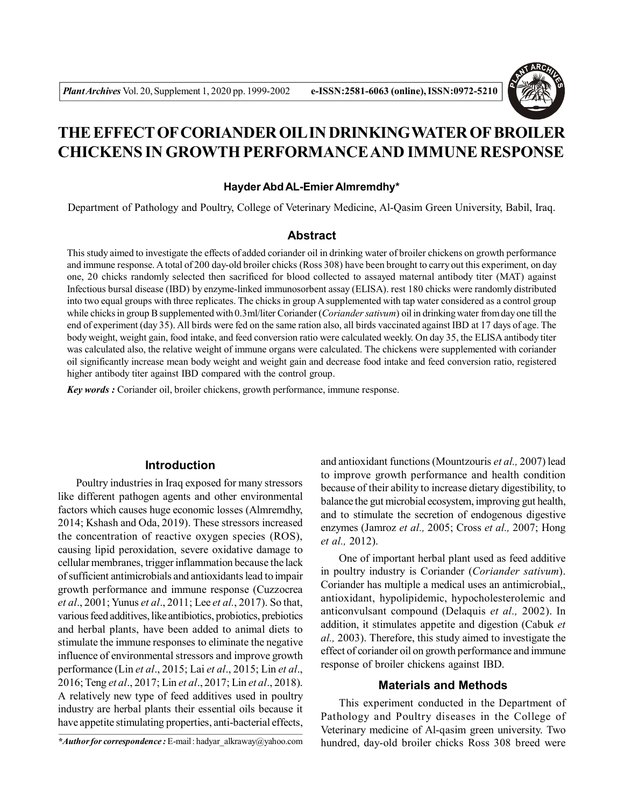

# **THE EFFECT OF CORIANDER OIL IN DRINKINGWATER OF BROILER CHICKENS IN GROWTH PERFORMANCE AND IMMUNE RESPONSE**

#### **Hayder Abd AL-Emier Almremdhy\***

Department of Pathology and Poultry, College of Veterinary Medicine, Al-Qasim Green University, Babil, Iraq.

#### **Abstract**

This study aimed to investigate the effects of added coriander oil in drinking water of broiler chickens on growth performance and immune response. A total of 200 day-old broiler chicks (Ross 308) have been brought to carry out this experiment, on day one, 20 chicks randomly selected then sacrificed for blood collected to assayed maternal antibody titer (MAT) against Infectious bursal disease (IBD) by enzyme-linked immunosorbent assay (ELISA). rest 180 chicks were randomly distributed into two equal groups with three replicates. The chicks in group A supplemented with tap water considered as a control group while chicks in group B supplemented with 0.3ml/liter Coriander (*Coriander sativum*) oil in drinking water from day one till the end of experiment (day 35). All birds were fed on the same ration also, all birds vaccinated against IBD at 17 days of age. The body weight, weight gain, food intake, and feed conversion ratio were calculated weekly. On day 35, the ELISA antibody titer was calculated also, the relative weight of immune organs were calculated. The chickens were supplemented with coriander oil significantly increase mean body weight and weight gain and decrease food intake and feed conversion ratio, registered higher antibody titer against IBD compared with the control group.

*Key words :* Coriander oil, broiler chickens, growth performance, immune response.

### **Introduction**

Poultry industries in Iraq exposed for many stressors like different pathogen agents and other environmental factors which causes huge economic losses (Almremdhy, 2014; Kshash and Oda, 2019). These stressors increased the concentration of reactive oxygen species (ROS), causing lipid peroxidation, severe oxidative damage to cellular membranes, trigger inflammation because the lack of sufficient antimicrobials and antioxidants lead to impair growth performance and immune response (Cuzzocrea *et al*., 2001; Yunus *et al*., 2011; Lee *et al.*, 2017). So that, various feed additives, like antibiotics, probiotics, prebiotics and herbal plants, have been added to animal diets to stimulate the immune responses to eliminate the negative influence of environmental stressors and improve growth performance (Lin *et al*., 2015; Lai *et al*., 2015; Lin *et al*., 2016; Teng *et al*., 2017; Lin *et al*., 2017; Lin *et al*., 2018). A relatively new type of feed additives used in poultry industry are herbal plants their essential oils because it have appetite stimulating properties, anti-bacterial effects,

and antioxidant functions (Mountzouris *et al.,* 2007) lead to improve growth performance and health condition because of their ability to increase dietary digestibility, to balance the gut microbial ecosystem, improving gut health, and to stimulate the secretion of endogenous digestive enzymes (Jamroz *et al.,* 2005; Cross *et al.,* 2007; Hong *et al.,* 2012).

One of important herbal plant used as feed additive in poultry industry is Coriander (*Coriander sativum*). Coriander has multiple a medical uses an antimicrobial,, antioxidant, hypolipidemic, hypocholesterolemic and anticonvulsant compound (Delaquis *et al.,* 2002). In addition, it stimulates appetite and digestion (Cabuk *et al.,* 2003). Therefore, this study aimed to investigate the effect of coriander oil on growth performance and immune response of broiler chickens against IBD.

#### **Materials and Methods**

This experiment conducted in the Department of Pathology and Poultry diseases in the College of Veterinary medicine of Al-qasim green university. Two hundred, day-old broiler chicks Ross 308 breed were

*<sup>\*</sup>Author for correspondence :* E-mail : hadyar\_alkraway@yahoo.com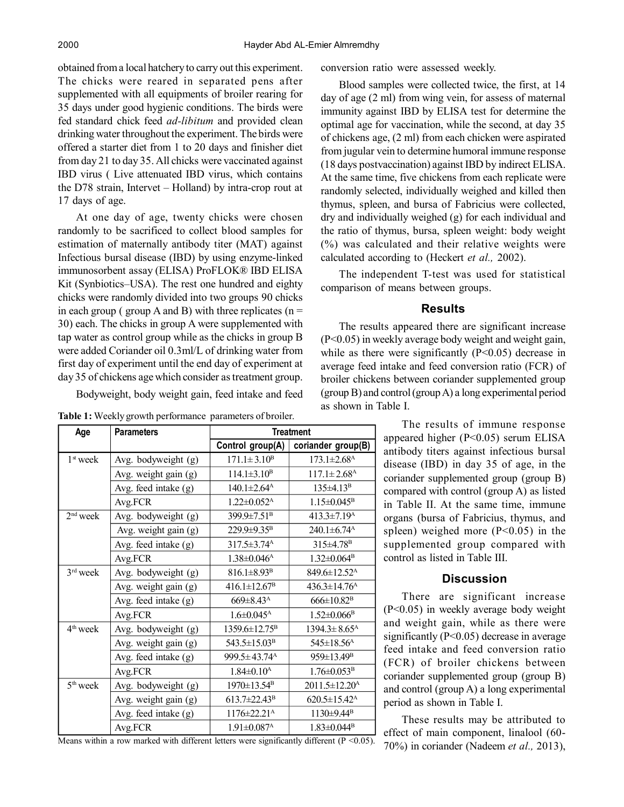obtained from a local hatchery to carry out this experiment. The chicks were reared in separated pens after supplemented with all equipments of broiler rearing for 35 days under good hygienic conditions. The birds were fed standard chick feed *ad-libitum* and provided clean drinking water throughout the experiment. The birds were offered a starter diet from 1 to 20 days and finisher diet from day 21 to day 35. All chicks were vaccinated against IBD virus ( Live attenuated IBD virus, which contains the D78 strain, Intervet – Holland) by intra-crop rout at 17 days of age.

At one day of age, twenty chicks were chosen randomly to be sacrificed to collect blood samples for estimation of maternally antibody titer (MAT) against Infectious bursal disease (IBD) by using enzyme-linked immunosorbent assay (ELISA) ProFLOK® IBD ELISA Kit (Synbiotics–USA). The rest one hundred and eighty chicks were randomly divided into two groups 90 chicks in each group ( group A and B) with three replicates ( $n =$ 30) each. The chicks in group A were supplemented with tap water as control group while as the chicks in group B were added Coriander oil 0.3ml/L of drinking water from first day of experiment until the end day of experiment at day 35 of chickens age which consider as treatment group.

Bodyweight, body weight gain, feed intake and feed

**Table 1:** Weekly growth performance parameters of broiler.

| Age        | <b>Parameters</b>    | <b>Treatment</b>               |                                |  |  |  |
|------------|----------------------|--------------------------------|--------------------------------|--|--|--|
|            |                      | Control group(A)               | coriander group(B)             |  |  |  |
| $1st$ week | Avg. bodyweight (g)  | $171.1 \pm 3.10^{\text{B}}$    | $173.1 \pm 2.68$ <sup>A</sup>  |  |  |  |
|            | Avg. weight gain (g) | $114.1 \pm 3.10^{\rm B}$       | $117.1 \pm 2.68$ <sup>A</sup>  |  |  |  |
|            | Avg. feed intake (g) | $140.1 \pm 2.64^{\text{A}}$    | $135 \pm 4.13^{\rm B}$         |  |  |  |
|            | Avg.FCR              | $1.22 \pm 0.052$ <sup>A</sup>  | $1.15 \pm 0.045^{\rm B}$       |  |  |  |
| $2nd$ week | Avg. bodyweight (g)  | 399.9±7.51 <sup>B</sup>        | $413.3 \pm 7.19$ <sup>A</sup>  |  |  |  |
|            | Avg. weight gain (g) | 229.9±9.35 <sup>B</sup>        | 240.1±6.74 <sup>A</sup>        |  |  |  |
|            | Avg. feed intake (g) | 317.5±3.74 <sup>A</sup>        | 315±4.78 <sup>B</sup>          |  |  |  |
|            | Avg.FCR              | $1.38 \pm 0.046$ <sup>A</sup>  | $1.32 \pm 0.064^{\mathrm{B}}$  |  |  |  |
| $3rd$ week | Avg. bodyweight (g)  | $816.1 \pm 8.93$ <sup>B</sup>  | 849.6±12.52 <sup>A</sup>       |  |  |  |
|            | Avg. weight gain (g) | $416.1 \pm 12.67^B$            | $436.3 \pm 14.76$ <sup>A</sup> |  |  |  |
|            | Avg. feed intake (g) | 669±8.43 <sup>A</sup>          | $666 \pm 10.82$ <sup>B</sup>   |  |  |  |
|            | Avg.FCR              | $1.6 \pm 0.045$ <sup>A</sup>   | $1.52 \pm 0.066$ <sup>B</sup>  |  |  |  |
| $4th$ week | Avg. bodyweight (g)  | 1359.6±12.75 <sup>B</sup>      | $1394.3 \pm 8.65$ <sup>A</sup> |  |  |  |
|            | Avg. weight gain (g) | 543.5±15.03 <sup>B</sup>       | 545±18.56 <sup>A</sup>         |  |  |  |
|            | Avg. feed intake (g) | $999.5 \pm 43.74$ <sup>A</sup> | $959 \pm 13.49^{\rm B}$        |  |  |  |
|            | Avg.FCR              | $1.84 \pm 0.10^{\rm A}$        | $1.76 \pm 0.053^{\rm B}$       |  |  |  |
| $5th$ week | Avg. bodyweight (g)  | 1970±13.54 <sup>B</sup>        | 2011.5±12.20 <sup>A</sup>      |  |  |  |
|            | Avg. weight gain (g) | $613.7 \pm 22.43$ <sup>B</sup> | $620.5 \pm 15.42^{\text{A}}$   |  |  |  |
|            | Avg. feed intake (g) | 1176±22.21 <sup>A</sup>        | 1130±9.44 <sup>B</sup>         |  |  |  |
|            | Avg.FCR              | $1.91 \pm 0.087$ <sup>A</sup>  | $1.83 \pm 0.044$ <sup>B</sup>  |  |  |  |

Means within a row marked with different letters were significantly different ( $P < 0.05$ ).

conversion ratio were assessed weekly.

Blood samples were collected twice, the first, at 14 day of age (2 ml) from wing vein, for assess of maternal immunity against IBD by ELISA test for determine the optimal age for vaccination, while the second, at day 35 of chickens age, (2 ml) from each chicken were aspirated from jugular vein to determine humoral immune response (18 days postvaccination) against IBD by indirect ELISA. At the same time, five chickens from each replicate were randomly selected, individually weighed and killed then thymus, spleen, and bursa of Fabricius were collected, dry and individually weighed (g) for each individual and the ratio of thymus, bursa, spleen weight: body weight (%) was calculated and their relative weights were calculated according to (Heckert *et al.,* 2002).

The independent T-test was used for statistical comparison of means between groups.

## **Results**

The results appeared there are significant increase (P<0.05) in weekly average body weight and weight gain, while as there were significantly  $(P<0.05)$  decrease in average feed intake and feed conversion ratio (FCR) of broiler chickens between coriander supplemented group (group B) and control (group A) a long experimental period as shown in Table I.

> The results of immune response appeared higher (P<0.05) serum ELISA antibody titers against infectious bursal disease (IBD) in day 35 of age, in the coriander supplemented group (group B) compared with control (group A) as listed in Table II. At the same time, immune organs (bursa of Fabricius, thymus, and spleen) weighed more  $(P<0.05)$  in the supplemented group compared with control as listed in Table III.

# **Discussion**

There are significant increase (P<0.05) in weekly average body weight and weight gain, while as there were significantly (P<0.05) decrease in average feed intake and feed conversion ratio (FCR) of broiler chickens between coriander supplemented group (group B) and control (group A) a long experimental period as shown in Table I.

These results may be attributed to effect of main component, linalool (60- 70%) in coriander (Nadeem *et al.,* 2013),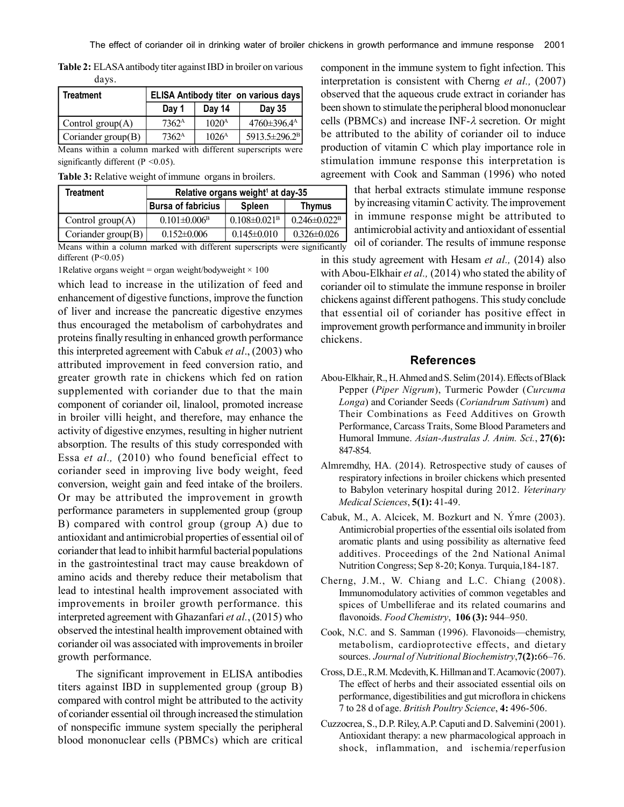**Table 2:** ELASA antibody titer against IBD in broiler on various days.

| <b>Treatment</b>                                              | ELISA Antibody titer on various days |                     |                           |  |  |  |
|---------------------------------------------------------------|--------------------------------------|---------------------|---------------------------|--|--|--|
|                                                               | Day 1                                | Day 14              | Day 35                    |  |  |  |
| Control group $(A)$                                           | 7362 <sup>A</sup>                    | $1020^{\mathrm{A}}$ | 4760±396.4 <sup>A</sup>   |  |  |  |
| $\vert$ Coriander group(B)                                    | 7362 <sup>A</sup>                    | 1026 <sup>A</sup>   | 5913.5±296.2 <sup>B</sup> |  |  |  |
| Means within a column marked with different superscripts were |                                      |                     |                           |  |  |  |

significantly different (P < 0.05).

**Table 3:** Relative weight of immune organs in broilers.

| Treatment            | Relative organs weight <sup>1</sup> at day-35 |                                |                                |  |
|----------------------|-----------------------------------------------|--------------------------------|--------------------------------|--|
|                      | <b>Bursa of fabricius</b>                     | Spleen                         | Thymus                         |  |
| Control $group(A)$   | $0.101 \pm 0.006$ <sup>B</sup>                | $0.108 \pm 0.021$ <sup>B</sup> | $0.246 \pm 0.022$ <sup>B</sup> |  |
| Coriander $group(B)$ | $0.152 \pm 0.006$                             | $0.145 \pm 0.010$              | $0.326 \pm 0.026$              |  |

Means within a column marked with different superscripts were significantly different (P<0.05)

1 Relative organs weight = organ weight/bodyweight  $\times$  100

which lead to increase in the utilization of feed and enhancement of digestive functions, improve the function of liver and increase the pancreatic digestive enzymes thus encouraged the metabolism of carbohydrates and proteins finally resulting in enhanced growth performance this interpreted agreement with Cabuk *et al*., (2003) who attributed improvement in feed conversion ratio, and greater growth rate in chickens which fed on ration supplemented with coriander due to that the main component of coriander oil, linalool, promoted increase in broiler villi height, and therefore, may enhance the activity of digestive enzymes, resulting in higher nutrient absorption. The results of this study corresponded with Essa *et al.,* (2010) who found beneficial effect to coriander seed in improving live body weight, feed conversion, weight gain and feed intake of the broilers. Or may be attributed the improvement in growth performance parameters in supplemented group (group B) compared with control group (group A) due to antioxidant and antimicrobial properties of essential oil of coriander that lead to inhibit harmful bacterial populations in the gastrointestinal tract may cause breakdown of amino acids and thereby reduce their metabolism that lead to intestinal health improvement associated with improvements in broiler growth performance. this interpreted agreement with Ghazanfari *et al.*, (2015) who observed the intestinal health improvement obtained with coriander oil was associated with improvements in broiler growth performance.

The significant improvement in ELISA antibodies titers against IBD in supplemented group (group B) compared with control might be attributed to the activity of coriander essential oil through increased the stimulation of nonspecific immune system specially the peripheral blood mononuclear cells (PBMCs) which are critical

component in the immune system to fight infection. This interpretation is consistent with Cherng *et al.,* (2007) observed that the aqueous crude extract in coriander has been shown to stimulate the peripheral blood mononuclear cells (PBMCs) and increase INF- $\lambda$  secretion. Or might be attributed to the ability of coriander oil to induce production of vitamin C which play importance role in stimulation immune response this interpretation is agreement with Cook and Samman (1996) who noted

> that herbal extracts stimulate immune response by increasing vitamin C activity. The improvement in immune response might be attributed to antimicrobial activity and antioxidant of essential oil of coriander. The results of immune response

in this study agreement with Hesam *et al.,* (2014) also with Abou-Elkhair *et al.,* (2014) who stated the ability of coriander oil to stimulate the immune response in broiler chickens against different pathogens. This study conclude that essential oil of coriander has positive effect in improvement growth performance and immunity in broiler chickens.

#### **References**

- Abou-Elkhair, R., H. Ahmed and S. Selim (2014). Effects of Black Pepper (*Piper Nigrum*), Turmeric Powder (*Curcuma Longa*) and Coriander Seeds (*Coriandrum Sativum*) and Their Combinations as Feed Additives on Growth Performance, Carcass Traits, Some Blood Parameters and Humoral Immune. *Asian-Australas J. Anim. Sci.*, **27(6):** 847-854.
- Almremdhy, HA. (2014). Retrospective study of causes of respiratory infections in broiler chickens which presented to Babylon veterinary hospital during 2012. *Veterinary Medical Sciences*, **5(1):** 41-49.
- Cabuk, M., A. Alcicek, M. Bozkurt and N. Ýmre (2003). Antimicrobial properties of the essential oils isolated from aromatic plants and using possibility as alternative feed additives. Proceedings of the 2nd National Animal Nutrition Congress; Sep 8-20; Konya. Turquia,184-187.
- Cherng, J.M., W. Chiang and L.C. Chiang (2008). Immunomodulatory activities of common vegetables and spices of Umbelliferae and its related coumarins and flavonoids. *Food Chemistry*, **106 (3):** 944–950.
- Cook, N.C. and S. Samman (1996). Flavonoids—chemistry, metabolism, cardioprotective effects, and dietary sources. *Journal of Nutritional Biochemistry*,**7(2):**66–76.
- Cross, D.E., R.M. Mcdevith, K. Hillman and T. Acamovic (2007). The effect of herbs and their associated essential oils on performance, digestibilities and gut microflora in chickens 7 to 28 d of age. *British Poultry Science*, **4:** 496-506.
- Cuzzocrea, S., D.P. Riley, A.P. Caputi and D. Salvemini (2001). Antioxidant therapy: a new pharmacological approach in shock, inflammation, and ischemia/reperfusion